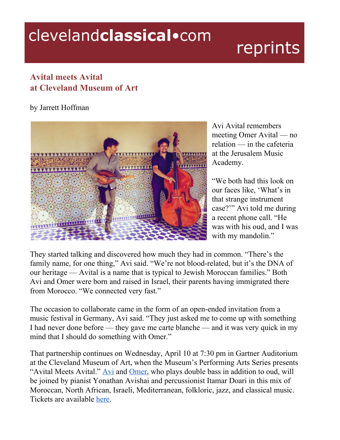## clevelandclassical.com

## reprints

## **Avital meets Avital at Cleveland Museum of Art**

## by Jarrett Hoffman



Avi Avital remembers meeting Omer Avital — no relation — in the cafeteria at the Jerusalem Music Academy.

"We both had this look on our faces like, 'What's in that strange instrument case?'" Avi told me during a recent phone call. "He was with his oud, and I was with my mandolin."

They started talking and discovered how much they had in common. "There's the family name, for one thing," Avi said. "We're not blood-related, but it's the DNA of our heritage — Avital is a name that is typical to Jewish Moroccan families." Both Avi and Omer were born and raised in Israel, their parents having immigrated there from Morocco. "We connected very fast."

The occasion to collaborate came in the form of an open-ended invitation from a music festival in Germany, Avi said. "They just asked me to come up with something I had never done before — they gave me carte blanche — and it was very quick in my mind that I should do something with Omer."

That partnership continues on Wednesday, April 10 at 7:30 pm in Gartner Auditorium at the Cleveland Museum of Art, when the Museum's Performing Arts Series presents "[Avi](https://www.aviavital.com/)tal Meets Avital."  $\overline{Avi}$  and [Omer,](https://www.omeravital.com/) who plays double bass in addition to oud, will be joined by pianist Yonathan Avishai and percussionist Itamar Doari in this mix of Moroccan, North African, Israeli, Mediterranean, folkloric, jazz, and classical music. Tickets are available [here](https://engage.clevelandart.org/account/login.aspx?ReturnUrl=http%3A//engage.clevelandart.org/single/SelectSeating.aspx%3Fp%3D2982).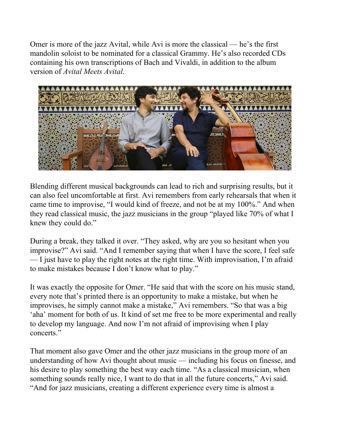Omer is more of the jazz Avital, while Avi is more the classical — he's the first mandolin soloist to be nominated for a classical Grammy. He's also recorded CDs containing his own transcriptions of Bach and Vivaldi, in addition to the album version of *Avital Meets Avital*.



Blending different musical backgrounds can lead to rich and surprising results, but it can also feel uncomfortable at first. Avi remembers from early rehearsals that when it came time to improvise, "I would kind of freeze, and not be at my 100%." And when they read classical music, the jazz musicians in the group "played like 70% of what I knew they could do."

During a break, they talked it over. "They asked, why are you so hesitant when you improvise?" Avi said. "And I remember saying that when I have the score, I feel safe — I just have to play the right notes at the right time. With improvisation, I'm afraid to make mistakes because I don't know what to play."

It was exactly the opposite for Omer. "He said that with the score on his music stand, every note that's printed there is an opportunity to make a mistake, but when he improvises, he simply cannot make a mistake," Avi remembers. "So that was a big 'aha' moment for both of us. It kind of set me free to be more experimental and really to develop my language. And now I'm not afraid of improvising when I play concerts."

That moment also gave Omer and the other jazz musicians in the group more of an understanding of how Avi thought about music — including his focus on finesse, and his desire to play something the best way each time. "As a classical musician, when something sounds really nice, I want to do that in all the future concerts," Avi said. "And for jazz musicians, creating a different experience every time is almost a